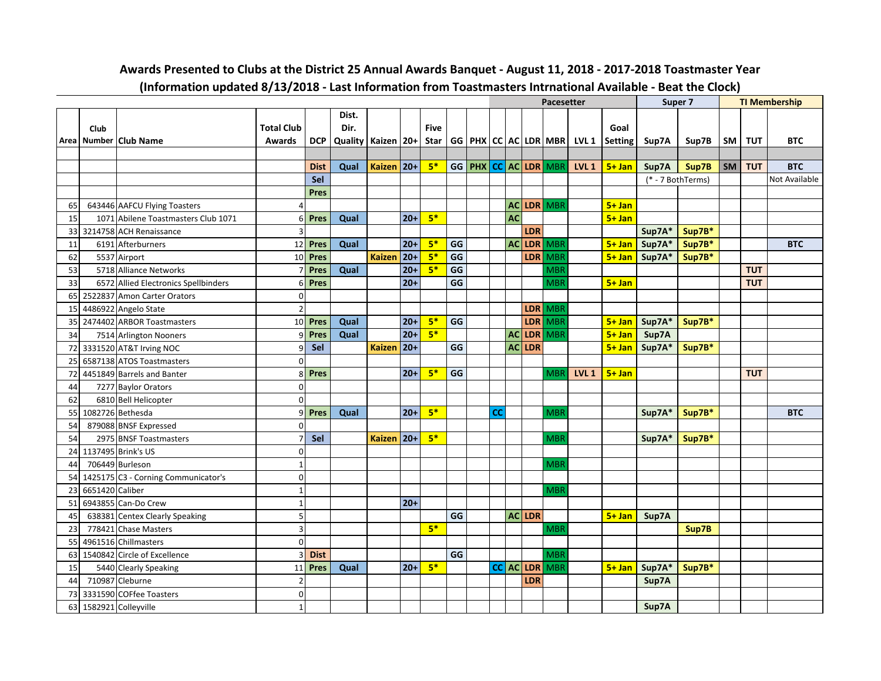|    |                 |                                      |                         |             |                        |               |        |             |    |           |           |            | <b>Pacesetter</b>              |                  |                |                 | Super 7           |           |            | <b>TI Membership</b> |
|----|-----------------|--------------------------------------|-------------------------|-------------|------------------------|---------------|--------|-------------|----|-----------|-----------|------------|--------------------------------|------------------|----------------|-----------------|-------------------|-----------|------------|----------------------|
|    |                 |                                      |                         |             | Dist.                  |               |        |             |    |           |           |            |                                |                  |                |                 |                   |           |            |                      |
|    | Club            |                                      | <b>Total Club</b>       |             | Dir.                   |               |        | <b>Five</b> |    |           |           |            |                                |                  | Goal           |                 |                   |           |            |                      |
|    |                 | Area Number Club Name                | Awards                  | <b>DCP</b>  | Quality   Kaizen   20+ |               |        | Star        |    |           |           |            | GG   PHX   CC   AC   LDR   MBR | LVL 1            | <b>Setting</b> | Sup7A           | Sup7B             | <b>SM</b> | TUT        | <b>BTC</b>           |
|    |                 |                                      |                         |             |                        |               |        |             |    |           |           |            |                                |                  |                |                 |                   |           |            |                      |
|    |                 |                                      |                         | <b>Dist</b> | Qual                   | <b>Kaizen</b> | $ 20+$ | $5*$        |    |           |           |            | GG PHX CC AC LDR MBR           | LVL <sub>1</sub> | $5 + Jan$      | Sup7A           | Sup7B             | SM I      | <b>TUT</b> | <b>BTC</b>           |
|    |                 |                                      |                         | Sel         |                        |               |        |             |    |           |           |            |                                |                  |                |                 | (* - 7 BothTerms) |           |            | Not Available        |
|    |                 |                                      |                         | <b>Pres</b> |                        |               |        |             |    |           |           |            |                                |                  |                |                 |                   |           |            |                      |
| 65 |                 | 643446 AAFCU Flying Toasters         | Δ                       |             |                        |               |        |             |    |           |           |            | AC LDR MBR                     |                  | $5 + Jan$      |                 |                   |           |            |                      |
| 15 |                 | 1071 Abilene Toastmasters Club 1071  | 6                       | <b>Pres</b> | Qual                   |               | $20+$  | $5*$        |    |           | <b>AC</b> |            |                                |                  | $5 + Jan$      |                 |                   |           |            |                      |
| 33 |                 | 3214758 ACH Renaissance              | $\overline{\mathbf{3}}$ |             |                        |               |        |             |    |           |           | LDR        |                                |                  |                | Sup7A*          | Sup7B*            |           |            |                      |
| 11 |                 | 6191 Afterburners                    | 12                      | Pres        | Qual                   |               | $20 +$ | $5*$        | GG |           | AC        |            | LDR MBR                        |                  | $5 + Jan$      | Sup7A*          | Sup7B*            |           |            | <b>BTC</b>           |
| 62 |                 | 5537 Airport                         | 10                      | Pres        |                        | <b>Kaizen</b> | $20+$  | $5*$        | GG |           |           | <b>LDR</b> | MBR                            |                  |                | 5+ Jan   Sup7A* | Sup7B*            |           |            |                      |
| 53 |                 | 5718 Alliance Networks               |                         | Pres        | Qual                   |               | $20+$  | $5*$        | GG |           |           |            | <b>MBR</b>                     |                  |                |                 |                   |           | <b>TUT</b> |                      |
| 33 |                 | 6572 Allied Electronics Spellbinders | 6                       | Pres        |                        |               | $20+$  |             | GG |           |           |            | <b>MBR</b>                     |                  | $5 + Jan$      |                 |                   |           | <b>TUT</b> |                      |
| 65 |                 | 2522837 Amon Carter Orators          | $\mathbf 0$             |             |                        |               |        |             |    |           |           |            |                                |                  |                |                 |                   |           |            |                      |
| 15 |                 | 4486922 Angelo State                 | $\overline{2}$          |             |                        |               |        |             |    |           |           |            | LDR MBR                        |                  |                |                 |                   |           |            |                      |
| 35 |                 | 2474402 ARBOR Toastmasters           | 10                      | Pres        | Qual                   |               | $20+$  | $5*$        | GG |           |           |            | LDR MBR                        |                  | $5 + Jan$      | Sup7A*          | Sup7B*            |           |            |                      |
| 34 |                 | 7514 Arlington Nooners               | q                       | Pres        | Qual                   |               | $20+$  | $5*$        |    |           | <b>AC</b> |            | LDR MBR                        |                  | $5 + Jan$      | Sup7A           |                   |           |            |                      |
| 72 |                 | 3331520 AT&T Irving NOC              | ٩                       | Sel         |                        | <b>Kaizen</b> | $ 20+$ |             | GG |           |           | $AC$ LDR   |                                |                  | $5 + Jan$      | Sup7A*          | Sup7B*            |           |            |                      |
| 25 |                 | 6587138 ATOS Toastmasters            | $\Omega$                |             |                        |               |        |             |    |           |           |            |                                |                  |                |                 |                   |           |            |                      |
| 72 |                 | 4451849 Barrels and Banter           | 8                       | Pres        |                        |               | $20+$  | $5*$        | GG |           |           |            | <b>MBR</b>                     | <b>LVL 1</b>     | $5 + Jan$      |                 |                   |           | <b>TUT</b> |                      |
| 44 |                 | 7277 Baylor Orators                  | $\mathbf 0$             |             |                        |               |        |             |    |           |           |            |                                |                  |                |                 |                   |           |            |                      |
| 62 |                 | 6810 Bell Helicopter                 | $\Omega$                |             |                        |               |        |             |    |           |           |            |                                |                  |                |                 |                   |           |            |                      |
| 55 |                 | 1082726 Bethesda                     | $\overline{9}$          | Pres        | Qual                   |               | $20+$  | $5*$        |    | <b>CC</b> |           |            | <b>MBR</b>                     |                  |                | Sup7A*          | Sup7B*            |           |            | <b>BTC</b>           |
| 54 |                 | 879088 BNSF Expressed                | $\Omega$                |             |                        |               |        |             |    |           |           |            |                                |                  |                |                 |                   |           |            |                      |
| 54 |                 | 2975 BNSF Toastmasters               |                         | Sel         |                        | <b>Kaizen</b> | $ 20+$ | $5*$        |    |           |           |            | <b>MBF</b>                     |                  |                | Sup7A*          | Sup7B*            |           |            |                      |
| 24 |                 | 1137495 Brink's US                   | 0                       |             |                        |               |        |             |    |           |           |            |                                |                  |                |                 |                   |           |            |                      |
| 44 |                 | 706449 Burleson                      | 1                       |             |                        |               |        |             |    |           |           |            | <b>MBR</b>                     |                  |                |                 |                   |           |            |                      |
| 54 |                 | 1425175 C3 - Corning Communicator's  | $\mathbf 0$             |             |                        |               |        |             |    |           |           |            |                                |                  |                |                 |                   |           |            |                      |
| 23 | 6651420 Caliber |                                      | $\mathbf{1}$            |             |                        |               |        |             |    |           |           |            | <b>MBR</b>                     |                  |                |                 |                   |           |            |                      |
| 51 |                 | 6943855 Can-Do Crew                  | $\mathbf{1}$            |             |                        |               | $20+$  |             |    |           |           |            |                                |                  |                |                 |                   |           |            |                      |
| 45 |                 | 638381 Centex Clearly Speaking       | 5 <sup>1</sup>          |             |                        |               |        |             | GG |           |           | AC LDR     |                                |                  | $5 + Jan$      | Sup7A           |                   |           |            |                      |
| 23 |                 | 778421 Chase Masters                 | 3                       |             |                        |               |        | $5*$        |    |           |           |            | <b>MBR</b>                     |                  |                |                 | Sup7B             |           |            |                      |
| 55 |                 | 4961516 Chillmasters                 | $\Omega$                |             |                        |               |        |             |    |           |           |            |                                |                  |                |                 |                   |           |            |                      |
| 63 |                 | 1540842 Circle of Excellence         | 3                       | <b>Dist</b> |                        |               |        |             | GG |           |           |            | <b>MBR</b>                     |                  |                |                 |                   |           |            |                      |
| 15 |                 | 5440 Clearly Speaking                | 11                      | Pres        | Qual                   |               | $20+$  | $5*$        |    |           |           | CC AC LDR  | <b>MBR</b>                     |                  | $5 + Jan$      | Sup7A*          | Sup7B*            |           |            |                      |
| 44 |                 | 710987 Cleburne                      | $\overline{2}$          |             |                        |               |        |             |    |           |           | <b>LDR</b> |                                |                  |                | Sup7A           |                   |           |            |                      |
| 73 |                 | 3331590 COFfee Toasters              | 0                       |             |                        |               |        |             |    |           |           |            |                                |                  |                |                 |                   |           |            |                      |
|    |                 | 63 1582921 Colleyville               | $\mathbf{1}$            |             |                        |               |        |             |    |           |           |            |                                |                  |                | Sup7A           |                   |           |            |                      |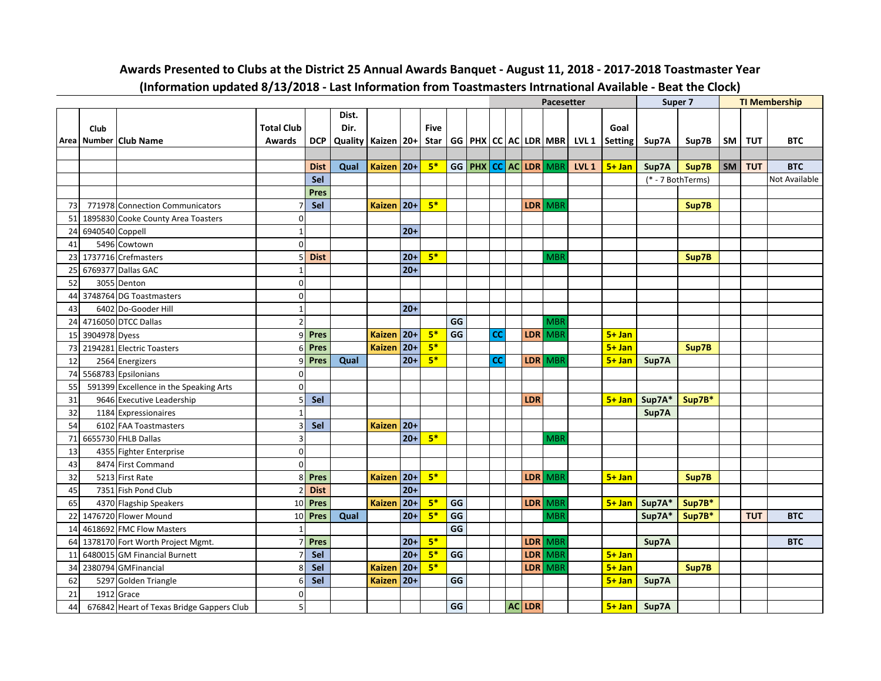|    |                 |                                           |                          |             |                        |               |        |      |    |           |            | Pacesetter                     |                                          |                | Super 7           |        |           |            | <b>TI Membership</b> |
|----|-----------------|-------------------------------------------|--------------------------|-------------|------------------------|---------------|--------|------|----|-----------|------------|--------------------------------|------------------------------------------|----------------|-------------------|--------|-----------|------------|----------------------|
|    |                 |                                           |                          |             | Dist.                  |               |        |      |    |           |            |                                |                                          |                |                   |        |           |            |                      |
|    | Club            |                                           | <b>Total Club</b>        |             | Dir.                   |               |        | Five |    |           |            |                                |                                          | Goal           |                   |        |           |            |                      |
|    |                 | Area   Number   Club Name                 | <b>Awards</b>            | <b>DCP</b>  | Quality   Kaizen   20+ |               |        | Star |    |           |            |                                | $GG   PHX   CC   AC   LDR   MBR   LVL 1$ | <b>Setting</b> | Sup7A             | Sup7B  | <b>SM</b> | <b>TUT</b> | <b>BTC</b>           |
|    |                 |                                           |                          |             |                        |               |        |      |    |           |            |                                |                                          |                |                   |        |           |            |                      |
|    |                 |                                           |                          | <b>Dist</b> | Qual                   | <b>Kaizen</b> | $ 20+$ | $5*$ |    |           |            | GG   PHX   CC   AC   LDR   MBR | LVL <sub>1</sub>                         | $5 + Jan$      | Sup7A             | Sup7B  | <b>SM</b> | <b>TUT</b> | <b>BTC</b>           |
|    |                 |                                           |                          | Sel         |                        |               |        |      |    |           |            |                                |                                          |                | (* - 7 BothTerms) |        |           |            | <b>Not Available</b> |
|    |                 |                                           |                          | <b>Pres</b> |                        |               |        |      |    |           |            |                                |                                          |                |                   |        |           |            |                      |
| 73 |                 | 771978 Connection Communicators           |                          | Sel         |                        | <b>Kaizen</b> | $ 20+$ | $5*$ |    |           |            | LDR   MBR                      |                                          |                |                   | Sup7B  |           |            |                      |
| 51 |                 | 1895830 Cooke County Area Toasters        | 0                        |             |                        |               |        |      |    |           |            |                                |                                          |                |                   |        |           |            |                      |
| 24 | 6940540 Coppell |                                           | $\mathbf{1}$             |             |                        |               | $20+$  |      |    |           |            |                                |                                          |                |                   |        |           |            |                      |
| 41 |                 | 5496 Cowtown                              | $\Omega$                 |             |                        |               |        |      |    |           |            |                                |                                          |                |                   |        |           |            |                      |
| 23 |                 | 1737716 Crefmasters                       | 5                        | <b>Dist</b> |                        |               | $20+$  | $5*$ |    |           |            | <b>MBR</b>                     |                                          |                |                   | Sup7B  |           |            |                      |
| 25 |                 | 6769377 Dallas GAC                        |                          |             |                        |               | $20+$  |      |    |           |            |                                |                                          |                |                   |        |           |            |                      |
| 52 |                 | 3055 Denton                               | $\mathbf 0$              |             |                        |               |        |      |    |           |            |                                |                                          |                |                   |        |           |            |                      |
| 44 |                 | 3748764 DG Toastmasters                   | $\overline{0}$           |             |                        |               |        |      |    |           |            |                                |                                          |                |                   |        |           |            |                      |
| 43 |                 | 6402 Do-Gooder Hill                       | $\mathbf{1}$             |             |                        |               | $20+$  |      |    |           |            |                                |                                          |                |                   |        |           |            |                      |
| 24 |                 | 4716050 DTCC Dallas                       | $\overline{2}$           |             |                        |               |        |      | GG |           |            | <b>MBR</b>                     |                                          |                |                   |        |           |            |                      |
| 15 | 3904978 Dyess   |                                           | q                        | <b>Pres</b> |                        | <b>Kaizen</b> | $ 20+$ | $5*$ | GG | <b>CC</b> |            | LDR MBR                        |                                          | $5+$ Jan       |                   |        |           |            |                      |
| 73 |                 | 2194281 Electric Toasters                 | 6                        | Pres        |                        | <b>Kaizen</b> | $ 20+$ | $5*$ |    |           |            |                                |                                          | $5 + Jan$      |                   | Sup7B  |           |            |                      |
| 12 |                 | 2564 Energizers                           | q                        | <b>Pres</b> | Qual                   |               | $20+$  | $5*$ |    | <b>CC</b> |            | LDR MBR                        |                                          | $5 + Jan$      | Sup7A             |        |           |            |                      |
| 74 |                 | 5568783 Epsilonians                       | $\overline{0}$           |             |                        |               |        |      |    |           |            |                                |                                          |                |                   |        |           |            |                      |
| 55 |                 | 591399 Excellence in the Speaking Arts    | 0                        |             |                        |               |        |      |    |           |            |                                |                                          |                |                   |        |           |            |                      |
| 31 |                 | 9646 Executive Leadership                 | 5                        | Sel         |                        |               |        |      |    |           | <b>LDR</b> |                                |                                          | $5+$ Jan       | Sup7A*            | Sup7B* |           |            |                      |
| 32 |                 | 1184 Expressionaires                      |                          |             |                        |               |        |      |    |           |            |                                |                                          |                | Sup7A             |        |           |            |                      |
| 54 |                 | 6102 FAA Toastmasters                     | 3                        | Sel         |                        | <b>Kaizen</b> | $ 20+$ |      |    |           |            |                                |                                          |                |                   |        |           |            |                      |
| 71 |                 | 6655730 FHLB Dallas                       | 3                        |             |                        |               | $20+$  | $5*$ |    |           |            | <b>MBR</b>                     |                                          |                |                   |        |           |            |                      |
| 13 |                 | 4355 Fighter Enterprise                   | $\mathbf 0$              |             |                        |               |        |      |    |           |            |                                |                                          |                |                   |        |           |            |                      |
| 43 |                 | 8474 First Command                        | $\mathbf 0$              |             |                        |               |        |      |    |           |            |                                |                                          |                |                   |        |           |            |                      |
| 32 |                 | 5213 First Rate                           | 8                        | Pres        |                        | <b>Kaizen</b> | $ 20+$ | $5*$ |    |           |            | LDR MBR                        |                                          | $5+$ Jan       |                   | Sup7B  |           |            |                      |
| 45 |                 | 7351 Fish Pond Club                       | $\overline{\phantom{a}}$ | <b>Dist</b> |                        |               | $20+$  |      |    |           |            |                                |                                          |                |                   |        |           |            |                      |
| 65 |                 | 4370 Flagship Speakers                    | 10                       | Pres        |                        | <b>Kaizen</b> | $ 20+$ | $5*$ | GG |           |            | LDR MBR                        |                                          | $5+$ Jan       | Sup7A*            | Sup7B* |           |            |                      |
| 22 |                 | 1476720 Flower Mound                      | 10 <sup>1</sup>          | Pres        | Qual                   |               | $20+$  | $5*$ | GG |           |            | <b>MBR</b>                     |                                          |                | Sup7A*            | Sup7B* |           | <b>TUT</b> | <b>BTC</b>           |
| 14 |                 | 4618692 FMC Flow Masters                  |                          |             |                        |               |        |      | GG |           |            |                                |                                          |                |                   |        |           |            |                      |
| 64 |                 | 1378170 Fort Worth Project Mgmt.          |                          | Pres        |                        |               | $20+$  | $5*$ |    |           |            | LDR MBR                        |                                          |                | Sup7A             |        |           |            | <b>BTC</b>           |
| 11 |                 | 6480015 GM Financial Burnett              |                          | Sel         |                        |               | $20+$  | $5*$ | GG |           | <b>LDR</b> | <b>MBR</b>                     |                                          | $5 + Jan$      |                   |        |           |            |                      |
| 34 |                 | 2380794 GMFinancial                       | 8                        | Sel         |                        | <b>Kaizen</b> | $ 20+$ | $5*$ |    |           | LDR        | <b>MBR</b>                     |                                          | $5 + Jan$      |                   | Sup7B  |           |            |                      |
| 62 |                 | 5297 Golden Triangle                      | 6                        | Sel         |                        | <b>Kaizen</b> | $ 20+$ |      | GG |           |            |                                |                                          | $5 + Jan$      | Sup7A             |        |           |            |                      |
| 21 |                 | 1912 Grace                                | 0                        |             |                        |               |        |      |    |           |            |                                |                                          |                |                   |        |           |            |                      |
| 44 |                 | 676842 Heart of Texas Bridge Gappers Club | 5 <sup>1</sup>           |             |                        |               |        |      | GG |           | $AC$ LDR   |                                |                                          | $5 + Jan$      | Sup7A             |        |           |            |                      |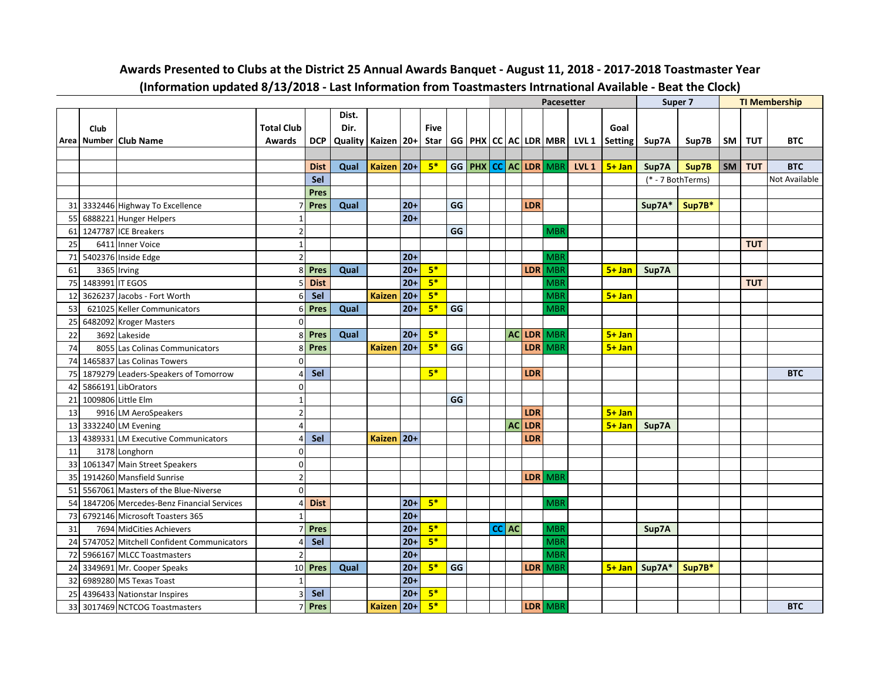|                 |      |                                          |                   |             |                        |               |        |             |    |           |           |            | <b>Pacesetter</b>              |                  |                | Super 7         |                   |      |            | <b>TI Membership</b> |
|-----------------|------|------------------------------------------|-------------------|-------------|------------------------|---------------|--------|-------------|----|-----------|-----------|------------|--------------------------------|------------------|----------------|-----------------|-------------------|------|------------|----------------------|
|                 |      |                                          |                   |             | Dist.                  |               |        |             |    |           |           |            |                                |                  |                |                 |                   |      |            |                      |
|                 | Club |                                          | <b>Total Club</b> |             | Dir.                   |               |        | <b>Five</b> |    |           |           |            |                                |                  | Goal           |                 |                   |      |            |                      |
|                 |      | Area Number Club Name                    | <b>Awards</b>     | <b>DCP</b>  | Quality   Kaizen   20+ |               |        | Star        |    |           |           |            | GG   PHX   CC   AC   LDR   MBR | LVL 1            | <b>Setting</b> | Sup7A           | Sup7B             | SM   | TUT        | <b>BTC</b>           |
|                 |      |                                          |                   |             |                        |               |        |             |    |           |           |            |                                |                  |                |                 |                   |      |            |                      |
|                 |      |                                          |                   | <b>Dist</b> | Qual                   | Kaizen   20+  |        | $5*$        |    |           |           |            | GG PHX CC AC LDR MBR           | LVL <sub>1</sub> | $5 + Jan$      | Sup7A           | Sup7B             | SM I | <b>TUT</b> | <b>BTC</b>           |
|                 |      |                                          |                   | Sel         |                        |               |        |             |    |           |           |            |                                |                  |                |                 | (* - 7 BothTerms) |      |            | Not Available        |
|                 |      |                                          |                   | <b>Pres</b> |                        |               |        |             |    |           |           |            |                                |                  |                |                 |                   |      |            |                      |
| 31              |      | 3332446 Highway To Excellence            |                   | <b>Pres</b> | Qual                   |               | $20 +$ |             | GG |           |           | LDR        |                                |                  |                | Sup7A*          | Sup7B*            |      |            |                      |
| 55              |      | 6888221 Hunger Helpers                   |                   |             |                        |               | $20+$  |             |    |           |           |            |                                |                  |                |                 |                   |      |            |                      |
| 61              |      | 1247787 ICE Breakers                     | $\overline{2}$    |             |                        |               |        |             | GG |           |           |            | <b>MBR</b>                     |                  |                |                 |                   |      |            |                      |
| 25              |      | 6411 Inner Voice                         | $\mathbf{1}$      |             |                        |               |        |             |    |           |           |            |                                |                  |                |                 |                   |      | <b>TUT</b> |                      |
| 71              |      | 5402376 Inside Edge                      | $\overline{2}$    |             |                        |               | $20+$  |             |    |           |           |            | <b>MBR</b>                     |                  |                |                 |                   |      |            |                      |
| 61              |      | 3365 Irving                              | 8                 | Pres        | Qual                   |               | $20+$  | $5*$        |    |           |           | <b>LDR</b> | <b>MBR</b>                     |                  | $5 + Jan$      | Sup7A           |                   |      |            |                      |
| 75              |      | 1483991 IT EGOS                          | 5                 | <b>Dist</b> |                        |               | $20+$  | $5*$        |    |           |           |            | <b>MBR</b>                     |                  |                |                 |                   |      | <b>TUT</b> |                      |
| 12              |      | 3626237 Jacobs - Fort Worth              | 6                 | Sel         |                        | <b>Kaizen</b> | $ 20+$ | $5*$        |    |           |           |            | <b>MBR</b>                     |                  | $5 + Jan$      |                 |                   |      |            |                      |
| 53              |      | 621025 Keller Communicators              | 6                 | <b>Pres</b> | Qual                   |               | $20+$  | $5*$        | GG |           |           |            | <b>MBR</b>                     |                  |                |                 |                   |      |            |                      |
| 25              |      | 6482092 Kroger Masters                   | $\Omega$          |             |                        |               |        |             |    |           |           |            |                                |                  |                |                 |                   |      |            |                      |
| 22              |      | 3692 Lakeside                            | 8                 | Pres        | Qual                   |               | $20+$  | $5*$        |    |           |           |            | AC LDR MBR                     |                  | $5 + Jan$      |                 |                   |      |            |                      |
| 74              |      | 8055 Las Colinas Communicators           | 8                 | Pres        |                        | <b>Kaizen</b> | $20+$  | $5*$        | GG |           |           | <b>LDR</b> | MBR                            |                  | $5 + Jan$      |                 |                   |      |            |                      |
| 74              |      | 1465837 Las Colinas Towers               | $\Omega$          |             |                        |               |        |             |    |           |           |            |                                |                  |                |                 |                   |      |            |                      |
| <b>75</b>       |      | 1879279 Leaders-Speakers of Tomorrow     | Δ                 | Sel         |                        |               |        | $5*$        |    |           |           | <b>LDR</b> |                                |                  |                |                 |                   |      |            | <b>BTC</b>           |
| 42              |      | 5866191 LibOrators                       | $\overline{0}$    |             |                        |               |        |             |    |           |           |            |                                |                  |                |                 |                   |      |            |                      |
| 21              |      | 1009806 Little Elm                       | 1                 |             |                        |               |        |             | GG |           |           |            |                                |                  |                |                 |                   |      |            |                      |
| 13              |      | 9916 LM AeroSpeakers                     | $\overline{2}$    |             |                        |               |        |             |    |           |           | <b>LDR</b> |                                |                  | $5 + Jan$      |                 |                   |      |            |                      |
| 13              |      | 3332240 LM Evening                       | $\overline{4}$    |             |                        |               |        |             |    |           | <b>AC</b> | LDR        |                                |                  | $5 + Jan$      | Sup7A           |                   |      |            |                      |
| 13              |      | 4389331 LM Executive Communicators       | 4                 | Sel         |                        | Kaizen   20+  |        |             |    |           |           | LDR        |                                |                  |                |                 |                   |      |            |                      |
| 11              |      | 3178 Longhorn                            | $\Omega$          |             |                        |               |        |             |    |           |           |            |                                |                  |                |                 |                   |      |            |                      |
| 331             |      | 1061347 Main Street Speakers             | $\Omega$          |             |                        |               |        |             |    |           |           |            |                                |                  |                |                 |                   |      |            |                      |
| 35              |      | 1914260 Mansfield Sunrise                | $\overline{2}$    |             |                        |               |        |             |    |           |           |            | LDR MBR                        |                  |                |                 |                   |      |            |                      |
| 51              |      | 5567061 Masters of the Blue-Niverse      | $\Omega$          |             |                        |               |        |             |    |           |           |            |                                |                  |                |                 |                   |      |            |                      |
| 54              |      | 1847206 Mercedes-Benz Financial Services | $\Delta$          | <b>Dist</b> |                        |               | $20 +$ | $5*$        |    |           |           |            | <b>MBR</b>                     |                  |                |                 |                   |      |            |                      |
| 73              |      | 6792146 Microsoft Toasters 365           |                   |             |                        |               | $20+$  |             |    |           |           |            |                                |                  |                |                 |                   |      |            |                      |
| 31              |      | 7694 MidCities Achievers                 |                   | Pres        |                        |               | $20+$  | $5*$        |    | $ CC $ AC |           |            | <b>MBF</b>                     |                  |                | Sup7A           |                   |      |            |                      |
| 24              |      | 5747052 Mitchell Confident Communicators | Δ                 | Sel         |                        |               | $20 +$ | $5*$        |    |           |           |            | <b>MBR</b>                     |                  |                |                 |                   |      |            |                      |
| 72              |      | 5966167 MLCC Toastmasters                | $\overline{2}$    |             |                        |               | $20+$  |             |    |           |           |            | <b>MBR</b>                     |                  |                |                 |                   |      |            |                      |
| 24              |      | 3349691 Mr. Cooper Speaks                | 10 <sup>1</sup>   | Pres        | Qual                   |               | $20+$  | $5*$        | GG |           |           | <b>LDR</b> | <b>MBR</b>                     |                  |                | $5+$ Jan Sup7A* | Sup7B*            |      |            |                      |
| 32 <sub>l</sub> |      | 6989280 MS Texas Toast                   | $\mathbf{1}$      |             |                        |               | $20 +$ |             |    |           |           |            |                                |                  |                |                 |                   |      |            |                      |
| 25              |      | 4396433 Nationstar Inspires              | 3                 | Sel         |                        |               | $20+$  | $5*$        |    |           |           |            |                                |                  |                |                 |                   |      |            |                      |
| 33              |      | 3017469 NCTCOG Toastmasters              |                   | Pres        |                        | <b>Kaizen</b> | $ 20+$ | $5*$        |    |           |           |            | LDR MBR                        |                  |                |                 |                   |      |            | <b>BTC</b>           |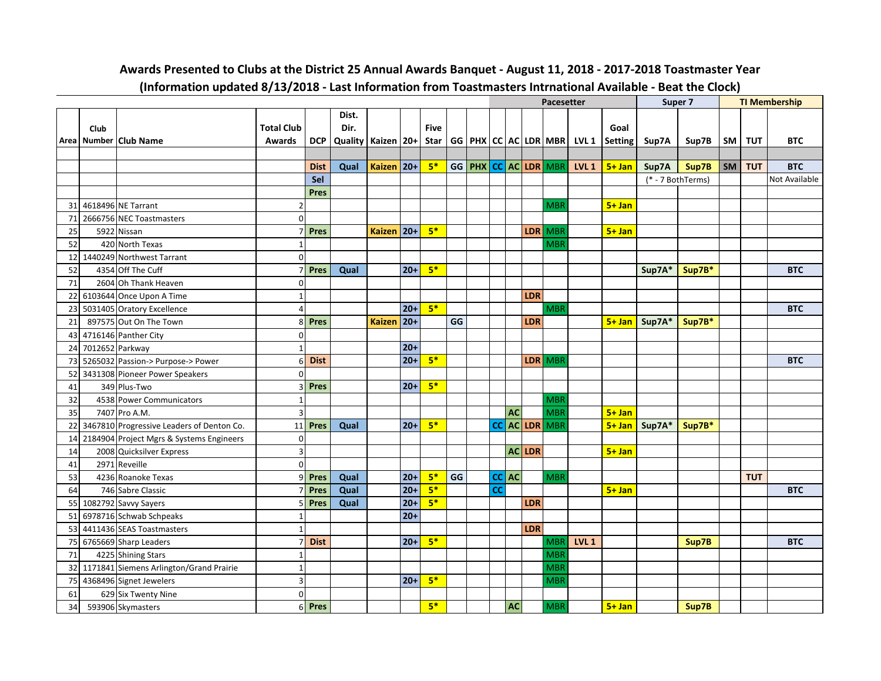| Dist.<br><b>Total Club</b><br>Dir.<br><b>Five</b><br>Goal<br>Club<br>Area Number Club Name<br>Quality   Kaizen   20+<br>$GG   PHX   CC   AC   LDR   MBR   LVL 1$<br><b>DCP</b><br>Star<br><b>Setting</b><br>TUT<br><b>BTC</b><br><b>Awards</b><br>Sup7A<br>Sup7B<br>SM<br>Kaizen 20+<br>$5*$<br>GG PHX CC AC LDR MBR<br>LVL <sub>1</sub><br>Sup7A<br>Sup7B<br><b>TUT</b><br><b>BTC</b><br><b>Dist</b><br>Qual<br>$5 + Jan$<br>SM  <br>Sel<br>(* - 7 BothTerms)<br>Not Available<br>Pres<br>4618496 NE Tarrant<br>$5+$ Jan<br>$\mathfrak{p}$<br><b>MBR</b><br>31<br>2666756 NEC Toastmasters<br>0<br>71<br>$5*$<br>Pres<br>$ 20+$<br>LDR MBR<br>$5 + Jan$<br><b>Kaizen</b><br>5922 Nissan<br>25<br>$\overline{ }$<br>420 North Texas<br><b>MBR</b><br>52<br>1<br>1440249 Northwest Tarrant<br>$\mathbf 0$<br>12<br>$5*$<br>Pres<br>Sup7A*<br>Sup7B*<br><b>BTC</b><br>52<br>4354 Off The Cuff<br>Qual<br>$20+$<br>71<br>2604 Oh Thank Heaven<br>$\Omega$<br>6103644 Once Upon A Time<br>LDR<br>22<br>$\mathbf{1}$<br>$5*$<br>5031405 Oratory Excellence<br>$20+$<br><b>BTC</b><br>4<br><b>MBR</b><br>23<br>GG<br>897575 Out On The Town<br>Pres<br><b>LDR</b><br>$5 + Jan$<br>Sup7A*<br>Sup7B*<br>8<br><b>Kaizen</b><br>20+<br>21<br>4716146 Panther City<br>$\mathbf 0$<br>43<br>7012652 Parkway<br>$20+$<br>24<br>$\mathbf{1}$<br>$5*$<br>5265032 Passion-> Purpose-> Power<br><b>Dist</b><br>$20+$<br>LDR MBR<br><b>BTC</b><br>73<br>6<br>52<br>3431308 Pioneer Power Speakers<br>$\Omega$<br>$5*$<br>$20+$<br>41<br>349 Plus-Two<br>Pres<br>3<br>32<br>4538 Power Communicators<br><b>MBR</b><br>$\mathbf{1}$<br>35<br>3<br><b>AC</b><br><b>MBR</b><br>$5 + Jan$<br>7407 Pro A.M.<br>CC AC LDR MBR<br>$5*$<br>3467810 Progressive Leaders of Denton Co.<br>Pres<br>$20+$<br>$5 + Jan$<br>Sup7A*<br>Sup7B*<br>22<br>11<br>Qual<br>2184904 Project Mgrs & Systems Engineers<br>14<br>$\Omega$<br>$\overline{\mathbf{3}}$<br>$AC$ LDR<br>$5 + Jan$<br>2008 Quicksilver Express<br>14<br>$\mathbf 0$<br>41<br>2971 Reveille<br>$5*$<br>GG<br>$ CC $ AC<br><b>TUT</b><br>Pres<br>Qual<br>$20+$<br><b>MBR</b><br>53<br>4236 Roanoke Texas<br>9<br>$5*$<br>cc<br>$20+$<br>$5 + Jan$<br><b>Pres</b><br>Qual<br><b>BTC</b><br>746 Sabre Classic<br>64<br>$5*$<br>Pres<br>$20+$<br><b>LDR</b><br>1082792 Savvy Sayers<br>Qual<br>55<br>5<br>$20+$<br>6978716 Schwab Schpeaks<br>51<br>1<br>4411436 SEAS Toastmasters<br><b>LDR</b><br>53<br>$\mathbf{1}$<br>$5*$<br>LVL <sub>1</sub><br><b>Dist</b><br>$20+$<br><b>BTC</b><br>6765669 Sharp Leaders<br><b>MBR</b><br>Sup7B<br>75<br>$\overline{7}$<br>71<br><b>MBR</b><br>4225 Shining Stars<br>$\mathbf{1}$ |    |  |              |  |  |  |  |  | Pacesetter |  | Super 7 |  | <b>TI Membership</b> |
|------------------------------------------------------------------------------------------------------------------------------------------------------------------------------------------------------------------------------------------------------------------------------------------------------------------------------------------------------------------------------------------------------------------------------------------------------------------------------------------------------------------------------------------------------------------------------------------------------------------------------------------------------------------------------------------------------------------------------------------------------------------------------------------------------------------------------------------------------------------------------------------------------------------------------------------------------------------------------------------------------------------------------------------------------------------------------------------------------------------------------------------------------------------------------------------------------------------------------------------------------------------------------------------------------------------------------------------------------------------------------------------------------------------------------------------------------------------------------------------------------------------------------------------------------------------------------------------------------------------------------------------------------------------------------------------------------------------------------------------------------------------------------------------------------------------------------------------------------------------------------------------------------------------------------------------------------------------------------------------------------------------------------------------------------------------------------------------------------------------------------------------------------------------------------------------------------------------------------------------------------------------------------------------------------------------------------------------------------------------------------------------------------------------------------------------------------------------------------------------------------------------------------------------------------------------------------------------------------------------------------------------------------|----|--|--------------|--|--|--|--|--|------------|--|---------|--|----------------------|
|                                                                                                                                                                                                                                                                                                                                                                                                                                                                                                                                                                                                                                                                                                                                                                                                                                                                                                                                                                                                                                                                                                                                                                                                                                                                                                                                                                                                                                                                                                                                                                                                                                                                                                                                                                                                                                                                                                                                                                                                                                                                                                                                                                                                                                                                                                                                                                                                                                                                                                                                                                                                                                                      |    |  |              |  |  |  |  |  |            |  |         |  |                      |
|                                                                                                                                                                                                                                                                                                                                                                                                                                                                                                                                                                                                                                                                                                                                                                                                                                                                                                                                                                                                                                                                                                                                                                                                                                                                                                                                                                                                                                                                                                                                                                                                                                                                                                                                                                                                                                                                                                                                                                                                                                                                                                                                                                                                                                                                                                                                                                                                                                                                                                                                                                                                                                                      |    |  |              |  |  |  |  |  |            |  |         |  |                      |
|                                                                                                                                                                                                                                                                                                                                                                                                                                                                                                                                                                                                                                                                                                                                                                                                                                                                                                                                                                                                                                                                                                                                                                                                                                                                                                                                                                                                                                                                                                                                                                                                                                                                                                                                                                                                                                                                                                                                                                                                                                                                                                                                                                                                                                                                                                                                                                                                                                                                                                                                                                                                                                                      |    |  |              |  |  |  |  |  |            |  |         |  |                      |
|                                                                                                                                                                                                                                                                                                                                                                                                                                                                                                                                                                                                                                                                                                                                                                                                                                                                                                                                                                                                                                                                                                                                                                                                                                                                                                                                                                                                                                                                                                                                                                                                                                                                                                                                                                                                                                                                                                                                                                                                                                                                                                                                                                                                                                                                                                                                                                                                                                                                                                                                                                                                                                                      |    |  |              |  |  |  |  |  |            |  |         |  |                      |
|                                                                                                                                                                                                                                                                                                                                                                                                                                                                                                                                                                                                                                                                                                                                                                                                                                                                                                                                                                                                                                                                                                                                                                                                                                                                                                                                                                                                                                                                                                                                                                                                                                                                                                                                                                                                                                                                                                                                                                                                                                                                                                                                                                                                                                                                                                                                                                                                                                                                                                                                                                                                                                                      |    |  |              |  |  |  |  |  |            |  |         |  |                      |
|                                                                                                                                                                                                                                                                                                                                                                                                                                                                                                                                                                                                                                                                                                                                                                                                                                                                                                                                                                                                                                                                                                                                                                                                                                                                                                                                                                                                                                                                                                                                                                                                                                                                                                                                                                                                                                                                                                                                                                                                                                                                                                                                                                                                                                                                                                                                                                                                                                                                                                                                                                                                                                                      |    |  |              |  |  |  |  |  |            |  |         |  |                      |
|                                                                                                                                                                                                                                                                                                                                                                                                                                                                                                                                                                                                                                                                                                                                                                                                                                                                                                                                                                                                                                                                                                                                                                                                                                                                                                                                                                                                                                                                                                                                                                                                                                                                                                                                                                                                                                                                                                                                                                                                                                                                                                                                                                                                                                                                                                                                                                                                                                                                                                                                                                                                                                                      |    |  |              |  |  |  |  |  |            |  |         |  |                      |
|                                                                                                                                                                                                                                                                                                                                                                                                                                                                                                                                                                                                                                                                                                                                                                                                                                                                                                                                                                                                                                                                                                                                                                                                                                                                                                                                                                                                                                                                                                                                                                                                                                                                                                                                                                                                                                                                                                                                                                                                                                                                                                                                                                                                                                                                                                                                                                                                                                                                                                                                                                                                                                                      |    |  |              |  |  |  |  |  |            |  |         |  |                      |
|                                                                                                                                                                                                                                                                                                                                                                                                                                                                                                                                                                                                                                                                                                                                                                                                                                                                                                                                                                                                                                                                                                                                                                                                                                                                                                                                                                                                                                                                                                                                                                                                                                                                                                                                                                                                                                                                                                                                                                                                                                                                                                                                                                                                                                                                                                                                                                                                                                                                                                                                                                                                                                                      |    |  |              |  |  |  |  |  |            |  |         |  |                      |
|                                                                                                                                                                                                                                                                                                                                                                                                                                                                                                                                                                                                                                                                                                                                                                                                                                                                                                                                                                                                                                                                                                                                                                                                                                                                                                                                                                                                                                                                                                                                                                                                                                                                                                                                                                                                                                                                                                                                                                                                                                                                                                                                                                                                                                                                                                                                                                                                                                                                                                                                                                                                                                                      |    |  |              |  |  |  |  |  |            |  |         |  |                      |
|                                                                                                                                                                                                                                                                                                                                                                                                                                                                                                                                                                                                                                                                                                                                                                                                                                                                                                                                                                                                                                                                                                                                                                                                                                                                                                                                                                                                                                                                                                                                                                                                                                                                                                                                                                                                                                                                                                                                                                                                                                                                                                                                                                                                                                                                                                                                                                                                                                                                                                                                                                                                                                                      |    |  |              |  |  |  |  |  |            |  |         |  |                      |
|                                                                                                                                                                                                                                                                                                                                                                                                                                                                                                                                                                                                                                                                                                                                                                                                                                                                                                                                                                                                                                                                                                                                                                                                                                                                                                                                                                                                                                                                                                                                                                                                                                                                                                                                                                                                                                                                                                                                                                                                                                                                                                                                                                                                                                                                                                                                                                                                                                                                                                                                                                                                                                                      |    |  |              |  |  |  |  |  |            |  |         |  |                      |
|                                                                                                                                                                                                                                                                                                                                                                                                                                                                                                                                                                                                                                                                                                                                                                                                                                                                                                                                                                                                                                                                                                                                                                                                                                                                                                                                                                                                                                                                                                                                                                                                                                                                                                                                                                                                                                                                                                                                                                                                                                                                                                                                                                                                                                                                                                                                                                                                                                                                                                                                                                                                                                                      |    |  |              |  |  |  |  |  |            |  |         |  |                      |
|                                                                                                                                                                                                                                                                                                                                                                                                                                                                                                                                                                                                                                                                                                                                                                                                                                                                                                                                                                                                                                                                                                                                                                                                                                                                                                                                                                                                                                                                                                                                                                                                                                                                                                                                                                                                                                                                                                                                                                                                                                                                                                                                                                                                                                                                                                                                                                                                                                                                                                                                                                                                                                                      |    |  |              |  |  |  |  |  |            |  |         |  |                      |
|                                                                                                                                                                                                                                                                                                                                                                                                                                                                                                                                                                                                                                                                                                                                                                                                                                                                                                                                                                                                                                                                                                                                                                                                                                                                                                                                                                                                                                                                                                                                                                                                                                                                                                                                                                                                                                                                                                                                                                                                                                                                                                                                                                                                                                                                                                                                                                                                                                                                                                                                                                                                                                                      |    |  |              |  |  |  |  |  |            |  |         |  |                      |
|                                                                                                                                                                                                                                                                                                                                                                                                                                                                                                                                                                                                                                                                                                                                                                                                                                                                                                                                                                                                                                                                                                                                                                                                                                                                                                                                                                                                                                                                                                                                                                                                                                                                                                                                                                                                                                                                                                                                                                                                                                                                                                                                                                                                                                                                                                                                                                                                                                                                                                                                                                                                                                                      |    |  |              |  |  |  |  |  |            |  |         |  |                      |
|                                                                                                                                                                                                                                                                                                                                                                                                                                                                                                                                                                                                                                                                                                                                                                                                                                                                                                                                                                                                                                                                                                                                                                                                                                                                                                                                                                                                                                                                                                                                                                                                                                                                                                                                                                                                                                                                                                                                                                                                                                                                                                                                                                                                                                                                                                                                                                                                                                                                                                                                                                                                                                                      |    |  |              |  |  |  |  |  |            |  |         |  |                      |
|                                                                                                                                                                                                                                                                                                                                                                                                                                                                                                                                                                                                                                                                                                                                                                                                                                                                                                                                                                                                                                                                                                                                                                                                                                                                                                                                                                                                                                                                                                                                                                                                                                                                                                                                                                                                                                                                                                                                                                                                                                                                                                                                                                                                                                                                                                                                                                                                                                                                                                                                                                                                                                                      |    |  |              |  |  |  |  |  |            |  |         |  |                      |
|                                                                                                                                                                                                                                                                                                                                                                                                                                                                                                                                                                                                                                                                                                                                                                                                                                                                                                                                                                                                                                                                                                                                                                                                                                                                                                                                                                                                                                                                                                                                                                                                                                                                                                                                                                                                                                                                                                                                                                                                                                                                                                                                                                                                                                                                                                                                                                                                                                                                                                                                                                                                                                                      |    |  |              |  |  |  |  |  |            |  |         |  |                      |
|                                                                                                                                                                                                                                                                                                                                                                                                                                                                                                                                                                                                                                                                                                                                                                                                                                                                                                                                                                                                                                                                                                                                                                                                                                                                                                                                                                                                                                                                                                                                                                                                                                                                                                                                                                                                                                                                                                                                                                                                                                                                                                                                                                                                                                                                                                                                                                                                                                                                                                                                                                                                                                                      |    |  |              |  |  |  |  |  |            |  |         |  |                      |
|                                                                                                                                                                                                                                                                                                                                                                                                                                                                                                                                                                                                                                                                                                                                                                                                                                                                                                                                                                                                                                                                                                                                                                                                                                                                                                                                                                                                                                                                                                                                                                                                                                                                                                                                                                                                                                                                                                                                                                                                                                                                                                                                                                                                                                                                                                                                                                                                                                                                                                                                                                                                                                                      |    |  |              |  |  |  |  |  |            |  |         |  |                      |
|                                                                                                                                                                                                                                                                                                                                                                                                                                                                                                                                                                                                                                                                                                                                                                                                                                                                                                                                                                                                                                                                                                                                                                                                                                                                                                                                                                                                                                                                                                                                                                                                                                                                                                                                                                                                                                                                                                                                                                                                                                                                                                                                                                                                                                                                                                                                                                                                                                                                                                                                                                                                                                                      |    |  |              |  |  |  |  |  |            |  |         |  |                      |
|                                                                                                                                                                                                                                                                                                                                                                                                                                                                                                                                                                                                                                                                                                                                                                                                                                                                                                                                                                                                                                                                                                                                                                                                                                                                                                                                                                                                                                                                                                                                                                                                                                                                                                                                                                                                                                                                                                                                                                                                                                                                                                                                                                                                                                                                                                                                                                                                                                                                                                                                                                                                                                                      |    |  |              |  |  |  |  |  |            |  |         |  |                      |
|                                                                                                                                                                                                                                                                                                                                                                                                                                                                                                                                                                                                                                                                                                                                                                                                                                                                                                                                                                                                                                                                                                                                                                                                                                                                                                                                                                                                                                                                                                                                                                                                                                                                                                                                                                                                                                                                                                                                                                                                                                                                                                                                                                                                                                                                                                                                                                                                                                                                                                                                                                                                                                                      |    |  |              |  |  |  |  |  |            |  |         |  |                      |
|                                                                                                                                                                                                                                                                                                                                                                                                                                                                                                                                                                                                                                                                                                                                                                                                                                                                                                                                                                                                                                                                                                                                                                                                                                                                                                                                                                                                                                                                                                                                                                                                                                                                                                                                                                                                                                                                                                                                                                                                                                                                                                                                                                                                                                                                                                                                                                                                                                                                                                                                                                                                                                                      |    |  |              |  |  |  |  |  |            |  |         |  |                      |
|                                                                                                                                                                                                                                                                                                                                                                                                                                                                                                                                                                                                                                                                                                                                                                                                                                                                                                                                                                                                                                                                                                                                                                                                                                                                                                                                                                                                                                                                                                                                                                                                                                                                                                                                                                                                                                                                                                                                                                                                                                                                                                                                                                                                                                                                                                                                                                                                                                                                                                                                                                                                                                                      |    |  |              |  |  |  |  |  |            |  |         |  |                      |
|                                                                                                                                                                                                                                                                                                                                                                                                                                                                                                                                                                                                                                                                                                                                                                                                                                                                                                                                                                                                                                                                                                                                                                                                                                                                                                                                                                                                                                                                                                                                                                                                                                                                                                                                                                                                                                                                                                                                                                                                                                                                                                                                                                                                                                                                                                                                                                                                                                                                                                                                                                                                                                                      |    |  |              |  |  |  |  |  |            |  |         |  |                      |
|                                                                                                                                                                                                                                                                                                                                                                                                                                                                                                                                                                                                                                                                                                                                                                                                                                                                                                                                                                                                                                                                                                                                                                                                                                                                                                                                                                                                                                                                                                                                                                                                                                                                                                                                                                                                                                                                                                                                                                                                                                                                                                                                                                                                                                                                                                                                                                                                                                                                                                                                                                                                                                                      |    |  |              |  |  |  |  |  |            |  |         |  |                      |
|                                                                                                                                                                                                                                                                                                                                                                                                                                                                                                                                                                                                                                                                                                                                                                                                                                                                                                                                                                                                                                                                                                                                                                                                                                                                                                                                                                                                                                                                                                                                                                                                                                                                                                                                                                                                                                                                                                                                                                                                                                                                                                                                                                                                                                                                                                                                                                                                                                                                                                                                                                                                                                                      |    |  |              |  |  |  |  |  |            |  |         |  |                      |
|                                                                                                                                                                                                                                                                                                                                                                                                                                                                                                                                                                                                                                                                                                                                                                                                                                                                                                                                                                                                                                                                                                                                                                                                                                                                                                                                                                                                                                                                                                                                                                                                                                                                                                                                                                                                                                                                                                                                                                                                                                                                                                                                                                                                                                                                                                                                                                                                                                                                                                                                                                                                                                                      |    |  |              |  |  |  |  |  |            |  |         |  |                      |
|                                                                                                                                                                                                                                                                                                                                                                                                                                                                                                                                                                                                                                                                                                                                                                                                                                                                                                                                                                                                                                                                                                                                                                                                                                                                                                                                                                                                                                                                                                                                                                                                                                                                                                                                                                                                                                                                                                                                                                                                                                                                                                                                                                                                                                                                                                                                                                                                                                                                                                                                                                                                                                                      |    |  |              |  |  |  |  |  |            |  |         |  |                      |
|                                                                                                                                                                                                                                                                                                                                                                                                                                                                                                                                                                                                                                                                                                                                                                                                                                                                                                                                                                                                                                                                                                                                                                                                                                                                                                                                                                                                                                                                                                                                                                                                                                                                                                                                                                                                                                                                                                                                                                                                                                                                                                                                                                                                                                                                                                                                                                                                                                                                                                                                                                                                                                                      |    |  |              |  |  |  |  |  |            |  |         |  |                      |
|                                                                                                                                                                                                                                                                                                                                                                                                                                                                                                                                                                                                                                                                                                                                                                                                                                                                                                                                                                                                                                                                                                                                                                                                                                                                                                                                                                                                                                                                                                                                                                                                                                                                                                                                                                                                                                                                                                                                                                                                                                                                                                                                                                                                                                                                                                                                                                                                                                                                                                                                                                                                                                                      |    |  |              |  |  |  |  |  |            |  |         |  |                      |
|                                                                                                                                                                                                                                                                                                                                                                                                                                                                                                                                                                                                                                                                                                                                                                                                                                                                                                                                                                                                                                                                                                                                                                                                                                                                                                                                                                                                                                                                                                                                                                                                                                                                                                                                                                                                                                                                                                                                                                                                                                                                                                                                                                                                                                                                                                                                                                                                                                                                                                                                                                                                                                                      |    |  |              |  |  |  |  |  |            |  |         |  |                      |
|                                                                                                                                                                                                                                                                                                                                                                                                                                                                                                                                                                                                                                                                                                                                                                                                                                                                                                                                                                                                                                                                                                                                                                                                                                                                                                                                                                                                                                                                                                                                                                                                                                                                                                                                                                                                                                                                                                                                                                                                                                                                                                                                                                                                                                                                                                                                                                                                                                                                                                                                                                                                                                                      |    |  |              |  |  |  |  |  |            |  |         |  |                      |
| 1171841 Siemens Arlington/Grand Prairie                                                                                                                                                                                                                                                                                                                                                                                                                                                                                                                                                                                                                                                                                                                                                                                                                                                                                                                                                                                                                                                                                                                                                                                                                                                                                                                                                                                                                                                                                                                                                                                                                                                                                                                                                                                                                                                                                                                                                                                                                                                                                                                                                                                                                                                                                                                                                                                                                                                                                                                                                                                                              | 32 |  | $\mathbf{1}$ |  |  |  |  |  | <b>MBR</b> |  |         |  |                      |
| $5*$<br>4368496 Signet Jewelers<br>$\overline{3}$<br>$20+$<br><b>MBR</b><br>75                                                                                                                                                                                                                                                                                                                                                                                                                                                                                                                                                                                                                                                                                                                                                                                                                                                                                                                                                                                                                                                                                                                                                                                                                                                                                                                                                                                                                                                                                                                                                                                                                                                                                                                                                                                                                                                                                                                                                                                                                                                                                                                                                                                                                                                                                                                                                                                                                                                                                                                                                                       |    |  |              |  |  |  |  |  |            |  |         |  |                      |
| $\mathbf 0$<br>61<br>629 Six Twenty Nine                                                                                                                                                                                                                                                                                                                                                                                                                                                                                                                                                                                                                                                                                                                                                                                                                                                                                                                                                                                                                                                                                                                                                                                                                                                                                                                                                                                                                                                                                                                                                                                                                                                                                                                                                                                                                                                                                                                                                                                                                                                                                                                                                                                                                                                                                                                                                                                                                                                                                                                                                                                                             |    |  |              |  |  |  |  |  |            |  |         |  |                      |
| $5*$<br>593906 Skymasters<br><b>AC</b><br>$5 + Jan$<br>34<br>6 Pres<br><b>MBR</b><br>Sup7B                                                                                                                                                                                                                                                                                                                                                                                                                                                                                                                                                                                                                                                                                                                                                                                                                                                                                                                                                                                                                                                                                                                                                                                                                                                                                                                                                                                                                                                                                                                                                                                                                                                                                                                                                                                                                                                                                                                                                                                                                                                                                                                                                                                                                                                                                                                                                                                                                                                                                                                                                           |    |  |              |  |  |  |  |  |            |  |         |  |                      |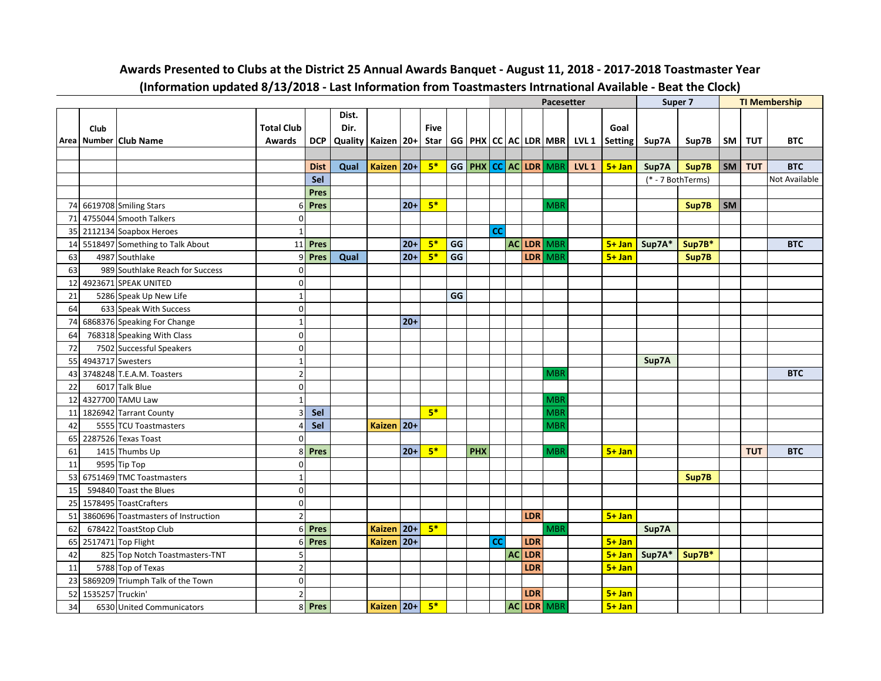|    |                  |                                     |                   |             |                        |               |        |             |    |            |           |           |            | <b>Pacesetter</b>    |                  |                                                  |               | Super 7           |           |            | <b>TI Membership</b> |
|----|------------------|-------------------------------------|-------------------|-------------|------------------------|---------------|--------|-------------|----|------------|-----------|-----------|------------|----------------------|------------------|--------------------------------------------------|---------------|-------------------|-----------|------------|----------------------|
|    |                  |                                     |                   |             | Dist.                  |               |        |             |    |            |           |           |            |                      |                  |                                                  |               |                   |           |            |                      |
|    | Club             |                                     | <b>Total Club</b> |             | Dir.                   |               |        | <b>Five</b> |    |            |           |           |            |                      |                  | Goal                                             |               |                   |           |            |                      |
|    |                  | Area Number Club Name               | Awards            | <b>DCP</b>  | Quality   Kaizen   20+ |               |        | Star        |    |            |           |           |            |                      |                  | GG   PHX   CC   AC   LDR   MBR   LVL 1   Setting | Sup7A         | Sup7B             | SM        | TUT        | <b>BTC</b>           |
|    |                  |                                     |                   |             |                        |               |        |             |    |            |           |           |            |                      |                  |                                                  |               |                   |           |            |                      |
|    |                  |                                     |                   | <b>Dist</b> | Qual                   | Kaizen 20+    |        | $5*$        |    |            |           |           |            | GG PHX CC AC LDR MBR | LVL <sub>1</sub> | $5 + Jan$                                        | Sup7A         | Sup7B             | SM        | <b>TUT</b> | <b>BTC</b>           |
|    |                  |                                     |                   | Sel         |                        |               |        |             |    |            |           |           |            |                      |                  |                                                  |               | (* - 7 BothTerms) |           |            | Not Available        |
|    |                  |                                     |                   | <b>Pres</b> |                        |               |        |             |    |            |           |           |            |                      |                  |                                                  |               |                   |           |            |                      |
| 74 |                  | 6619708 Smiling Stars               | 6                 | <b>Pres</b> |                        |               | $20+$  | $5*$        |    |            |           |           |            | <b>MBR</b>           |                  |                                                  |               | Sup7B             | <b>SM</b> |            |                      |
| 71 |                  | 4755044 Smooth Talkers              | 0                 |             |                        |               |        |             |    |            |           |           |            |                      |                  |                                                  |               |                   |           |            |                      |
| 35 |                  | 2112134 Soapbox Heroes              | $\mathbf{1}$      |             |                        |               |        |             |    |            | cc        |           |            |                      |                  |                                                  |               |                   |           |            |                      |
| 14 |                  | 5518497 Something to Talk About     | 11                | Pres        |                        |               | $20+$  | $5*$        | GG |            |           |           |            | AC LDR MBR           |                  |                                                  | 5+ Jan Sup7A* | Sup7B*            |           |            | <b>BTC</b>           |
| 63 |                  | 4987 Southlake                      | q                 | Pres        | Qual                   |               | $20+$  | $5*$        | GG |            |           |           |            | LDR MBR              |                  | $5 + Jan$                                        |               | Sup7B             |           |            |                      |
| 63 |                  | 989 Southlake Reach for Success     | 0                 |             |                        |               |        |             |    |            |           |           |            |                      |                  |                                                  |               |                   |           |            |                      |
| 12 |                  | 4923671 SPEAK UNITED                | $\mathbf 0$       |             |                        |               |        |             |    |            |           |           |            |                      |                  |                                                  |               |                   |           |            |                      |
| 21 |                  | 5286 Speak Up New Life              | $\mathbf{1}$      |             |                        |               |        |             | GG |            |           |           |            |                      |                  |                                                  |               |                   |           |            |                      |
| 64 |                  | 633 Speak With Success              | 0                 |             |                        |               |        |             |    |            |           |           |            |                      |                  |                                                  |               |                   |           |            |                      |
| 74 |                  | 6868376 Speaking For Change         | $\mathbf{1}$      |             |                        |               | $20+$  |             |    |            |           |           |            |                      |                  |                                                  |               |                   |           |            |                      |
| 64 |                  | 768318 Speaking With Class          | $\mathbf 0$       |             |                        |               |        |             |    |            |           |           |            |                      |                  |                                                  |               |                   |           |            |                      |
| 72 |                  | 7502 Successful Speakers            | 0                 |             |                        |               |        |             |    |            |           |           |            |                      |                  |                                                  |               |                   |           |            |                      |
| 55 |                  | 4943717 Swesters                    | 1                 |             |                        |               |        |             |    |            |           |           |            |                      |                  |                                                  | Sup7A         |                   |           |            |                      |
| 43 |                  | 3748248 T.E.A.M. Toasters           | $\overline{2}$    |             |                        |               |        |             |    |            |           |           |            | <b>MBR</b>           |                  |                                                  |               |                   |           |            | <b>BTC</b>           |
| 22 |                  | 6017 Talk Blue                      | 0                 |             |                        |               |        |             |    |            |           |           |            |                      |                  |                                                  |               |                   |           |            |                      |
| 12 |                  | 4327700 TAMU Law                    |                   |             |                        |               |        |             |    |            |           |           |            | <b>MBR</b>           |                  |                                                  |               |                   |           |            |                      |
| 11 |                  | 1826942 Tarrant County              | 3                 | Sel         |                        |               |        | $5*$        |    |            |           |           |            | <b>MBR</b>           |                  |                                                  |               |                   |           |            |                      |
| 42 |                  | 5555 TCU Toastmasters               | Δ                 | Sel         |                        | <b>Kaizen</b> | $ 20+$ |             |    |            |           |           |            | <b>MBR</b>           |                  |                                                  |               |                   |           |            |                      |
| 65 |                  | 2287526 Texas Toast                 | 0                 |             |                        |               |        |             |    |            |           |           |            |                      |                  |                                                  |               |                   |           |            |                      |
| 61 |                  | 1415 Thumbs Up                      | 8                 | Pres        |                        |               | $20+$  | $5*$        |    | <b>PHX</b> |           |           |            | <b>MBR</b>           |                  | $5 + Jan$                                        |               |                   |           | <b>TUT</b> | <b>BTC</b>           |
| 11 |                  | 9595 Tip Top                        | $\Omega$          |             |                        |               |        |             |    |            |           |           |            |                      |                  |                                                  |               |                   |           |            |                      |
| 53 |                  | 6751469 TMC Toastmasters            | $\mathbf{1}$      |             |                        |               |        |             |    |            |           |           |            |                      |                  |                                                  |               | Sup7B             |           |            |                      |
| 15 |                  | 594840 Toast the Blues              | $\mathbf 0$       |             |                        |               |        |             |    |            |           |           |            |                      |                  |                                                  |               |                   |           |            |                      |
| 25 |                  | 1578495 ToastCrafters               | $\mathbf 0$       |             |                        |               |        |             |    |            |           |           |            |                      |                  |                                                  |               |                   |           |            |                      |
| 51 |                  | 3860696 Toastmasters of Instruction | $\overline{2}$    |             |                        |               |        |             |    |            |           |           | <b>LDR</b> |                      |                  | $5 + Jan$                                        |               |                   |           |            |                      |
| 62 |                  | 678422 ToastStop Club               | $6 \overline{6}$  | Pres        |                        | <b>Kaizen</b> | $ 20+$ | $5*$        |    |            |           |           |            | <b>MBR</b>           |                  |                                                  | Sup7A         |                   |           |            |                      |
| 65 |                  | 2517471 Top Flight                  | 6                 | Pres        |                        | <b>Kaizen</b> | $ 20+$ |             |    |            | <b>CC</b> |           | <b>LDR</b> |                      |                  | $5 + Jan$                                        |               |                   |           |            |                      |
| 42 |                  | 825 Top Notch Toastmasters-TNT      | 5                 |             |                        |               |        |             |    |            |           | <b>AC</b> | LDR        |                      |                  | $5 + Jan$                                        | Sup7A*        | Sup7B*            |           |            |                      |
| 11 |                  | 5788 Top of Texas                   | $\overline{2}$    |             |                        |               |        |             |    |            |           |           | LDR        |                      |                  | $5 + Jan$                                        |               |                   |           |            |                      |
| 23 |                  | 5869209 Triumph Talk of the Town    | $\mathbf 0$       |             |                        |               |        |             |    |            |           |           |            |                      |                  |                                                  |               |                   |           |            |                      |
| 52 | 1535257 Truckin' |                                     | $\overline{2}$    |             |                        |               |        |             |    |            |           |           | <b>LDR</b> |                      |                  | $5 + Jan$                                        |               |                   |           |            |                      |
| 34 |                  | 6530 United Communicators           |                   | 8 Pres      |                        | Kaizen 20+    |        | $5*$        |    |            |           |           |            | AC LDR MBR           |                  | $5 + Jan$                                        |               |                   |           |            |                      |